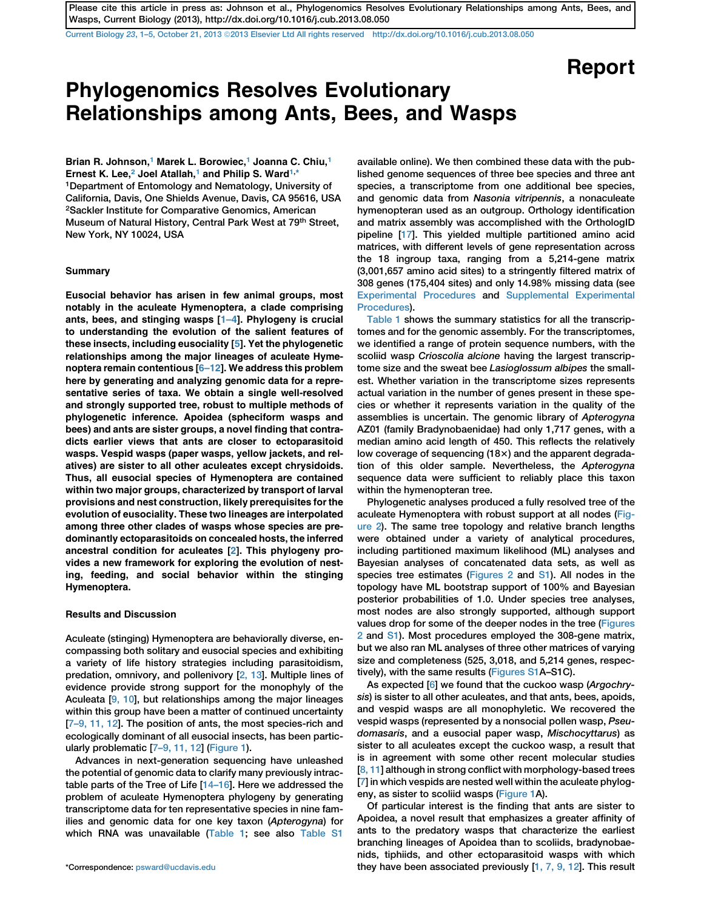Current Biology 23[, 1–5, October 21, 2013](http://dx.doi.org/10.1016/j.cub.2013.08.050) ª[2013 Elsevier Ltd All rights reserved http://dx.doi.org/10.1016/j.cub.2013.08.050](http://dx.doi.org/10.1016/j.cub.2013.08.050)

# Report

## Phylogenomics Resolves Evolutionary Relationships among Ants, Bees, and Wasps

Brian R. Johnson,<sup>1</sup> Marek L. Borowiec,<sup>1</sup> Joanna C. Chiu,<sup>1</sup> Ernest K. Lee,<sup>2</sup> Joel Atallah,<sup>1</sup> and Philip S. Ward<sup>1,\*</sup> 1Department of Entomology and Nematology, University of California, Davis, One Shields Avenue, Davis, CA 95616, USA 2Sackler Institute for Comparative Genomics, American Museum of Natural History, Central Park West at 79<sup>th</sup> Street, New York, NY 10024, USA

#### **Summary**

Eusocial behavior has arisen in few animal groups, most notably in the aculeate Hymenoptera, a clade comprising ants, bees, and stinging wasps [[1–4\]](#page-3-0). Phylogeny is crucial to understanding the evolution of the salient features of these insects, including eusociality [[5\]](#page-3-0). Yet the phylogenetic relationships among the major lineages of aculeate Hymenoptera remain contentious [\[6–12\]](#page-3-0). We address this problem here by generating and analyzing genomic data for a representative series of taxa. We obtain a single well-resolved and strongly supported tree, robust to multiple methods of phylogenetic inference. Apoidea (spheciform wasps and bees) and ants are sister groups, a novel finding that contradicts earlier views that ants are closer to ectoparasitoid wasps. Vespid wasps (paper wasps, yellow jackets, and relatives) are sister to all other aculeates except chrysidoids. Thus, all eusocial species of Hymenoptera are contained within two major groups, characterized by transport of larval provisions and nest construction, likely prerequisites for the evolution of eusociality. These two lineages are interpolated among three other clades of wasps whose species are predominantly ectoparasitoids on concealed hosts, the inferred ancestral condition for aculeates [[2](#page-3-0)]. This phylogeny provides a new framework for exploring the evolution of nesting, feeding, and social behavior within the stinging Hymenoptera.

## Results and Discussion

Aculeate (stinging) Hymenoptera are behaviorally diverse, encompassing both solitary and eusocial species and exhibiting a variety of life history strategies including parasitoidism, predation, omnivory, and pollenivory [\[2, 13](#page-3-0)]. Multiple lines of evidence provide strong support for the monophyly of the Aculeata [\[9, 10](#page-3-0)], but relationships among the major lineages within this group have been a matter of continued uncertainty [[7–9, 11, 12](#page-3-0)]. The position of ants, the most species-rich and ecologically dominant of all eusocial insects, has been particularly problematic [\[7–9, 11, 12](#page-3-0)] [\(Figure 1](#page-1-0)).

Advances in next-generation sequencing have unleashed the potential of genomic data to clarify many previously intractable parts of the Tree of Life [[14–16\]](#page-3-0). Here we addressed the problem of aculeate Hymenoptera phylogeny by generating transcriptome data for ten representative species in nine families and genomic data for one key taxon (Apterogyna) for which RNA was unavailable ([Table 1](#page-2-0); see also [Table S1](#page-3-0)

available online). We then combined these data with the published genome sequences of three bee species and three ant species, a transcriptome from one additional bee species, and genomic data from Nasonia vitripennis, a nonaculeate hymenopteran used as an outgroup. Orthology identification and matrix assembly was accomplished with the OrthologID pipeline [\[17\]](#page-4-0). This yielded multiple partitioned amino acid matrices, with different levels of gene representation across the 18 ingroup taxa, ranging from a 5,214-gene matrix (3,001,657 amino acid sites) to a stringently filtered matrix of 308 genes (175,404 sites) and only 14.98% missing data (see [Experimental Procedures](#page-2-0) and [Supplemental Experimental](#page-3-0) [Procedures\)](#page-3-0).

[Table 1](#page-2-0) shows the summary statistics for all the transcriptomes and for the genomic assembly. For the transcriptomes, we identified a range of protein sequence numbers, with the scoliid wasp Crioscolia alcione having the largest transcriptome size and the sweat bee Lasioglossum albipes the smallest. Whether variation in the transcriptome sizes represents actual variation in the number of genes present in these species or whether it represents variation in the quality of the assemblies is uncertain. The genomic library of Apterogyna AZ01 (family Bradynobaenidae) had only 1,717 genes, with a median amino acid length of 450. This reflects the relatively low coverage of sequencing  $(18\times)$  and the apparent degradation of this older sample. Nevertheless, the Apterogyna sequence data were sufficient to reliably place this taxon within the hymenopteran tree.

Phylogenetic analyses produced a fully resolved tree of the aculeate Hymenoptera with robust support at all nodes [\(Fig](#page-2-0)[ure 2](#page-2-0)). The same tree topology and relative branch lengths were obtained under a variety of analytical procedures, including partitioned maximum likelihood (ML) analyses and Bayesian analyses of concatenated data sets, as well as species tree estimates [\(Figures 2](#page-2-0) and [S1\)](#page-3-0). All nodes in the topology have ML bootstrap support of 100% and Bayesian posterior probabilities of 1.0. Under species tree analyses, most nodes are also strongly supported, although support values drop for some of the deeper nodes in the tree ([Figures](#page-2-0) [2](#page-2-0) and [S1\)](#page-3-0). Most procedures employed the 308-gene matrix, but we also ran ML analyses of three other matrices of varying size and completeness (525, 3,018, and 5,214 genes, respectively), with the same results ([Figures S1](#page-3-0)A–S1C).

As expected [[6](#page-3-0)] we found that the cuckoo wasp (Argochrysis) is sister to all other aculeates, and that ants, bees, apoids, and vespid wasps are all monophyletic. We recovered the vespid wasps (represented by a nonsocial pollen wasp, Pseudomasaris, and a eusocial paper wasp, Mischocyttarus) as sister to all aculeates except the cuckoo wasp, a result that is in agreement with some other recent molecular studies [[8, 11\]](#page-3-0) although in strong conflict with morphology-based trees [[7\]](#page-3-0) in which vespids are nested well within the aculeate phylogeny, as sister to scoliid wasps [\(Figure 1](#page-1-0)A).

Of particular interest is the finding that ants are sister to Apoidea, a novel result that emphasizes a greater affinity of ants to the predatory wasps that characterize the earliest branching lineages of Apoidea than to scoliids, bradynobaenids, tiphiids, and other ectoparasitoid wasps with which \*Correspondence: [psward@ucdavis.edu](mailto:psward@ucdavis.edu) they have been associated previously [\[1, 7, 9, 12](#page-3-0)]. This result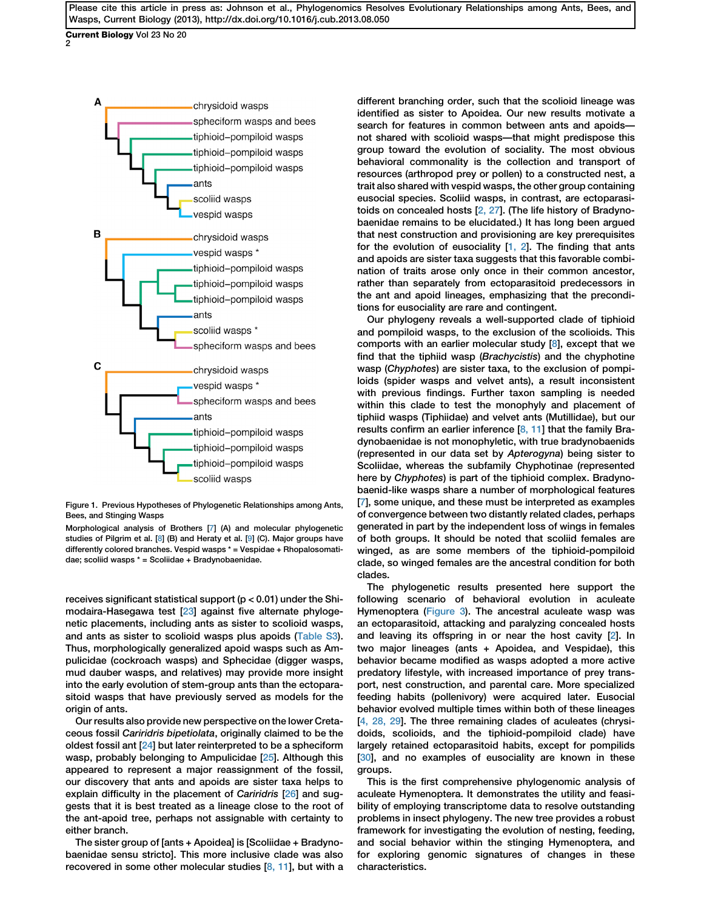<span id="page-1-0"></span>Current Biology Vol 23 No 20 2



Figure 1. Previous Hypotheses of Phylogenetic Relationships among Ants, Bees, and Stinging Wasps

Morphological analysis of Brothers [\[7](#page-3-0)] (A) and molecular phylogenetic studies of Pilgrim et al. [[8\]](#page-3-0) (B) and Heraty et al. [\[9](#page-3-0)] (C). Major groups have differently colored branches. Vespid wasps \* = Vespidae + Rhopalosomatidae; scoliid wasps \* = Scoliidae + Bradynobaenidae.

receives significant statistical support (p < 0.01) under the Shimodaira-Hasegawa test [\[23\]](#page-4-0) against five alternate phylogenetic placements, including ants as sister to scolioid wasps, and ants as sister to scolioid wasps plus apoids ([Table S3\)](#page-3-0). Thus, morphologically generalized apoid wasps such as Ampulicidae (cockroach wasps) and Sphecidae (digger wasps, mud dauber wasps, and relatives) may provide more insight into the early evolution of stem-group ants than the ectoparasitoid wasps that have previously served as models for the origin of ants.

Our results also provide new perspective on the lower Cretaceous fossil Cariridris bipetiolata, originally claimed to be the oldest fossil ant [\[24\]](#page-4-0) but later reinterpreted to be a spheciform wasp, probably belonging to Ampulicidae [\[25\]](#page-4-0). Although this appeared to represent a major reassignment of the fossil, our discovery that ants and apoids are sister taxa helps to explain difficulty in the placement of Cariridris [\[26\]](#page-4-0) and suggests that it is best treated as a lineage close to the root of the ant-apoid tree, perhaps not assignable with certainty to either branch.

The sister group of [ants + Apoidea] is [Scoliidae + Bradynobaenidae sensu stricto]. This more inclusive clade was also recovered in some other molecular studies  $[8, 11]$  $[8, 11]$ , but with a

different branching order, such that the scolioid lineage was identified as sister to Apoidea. Our new results motivate a search for features in common between ants and apoids not shared with scolioid wasps—that might predispose this group toward the evolution of sociality. The most obvious behavioral commonality is the collection and transport of resources (arthropod prey or pollen) to a constructed nest, a trait also shared with vespid wasps, the other group containing eusocial species. Scoliid wasps, in contrast, are ectoparasitoids on concealed hosts [\[2, 27](#page-3-0)]. (The life history of Bradynobaenidae remains to be elucidated.) It has long been argued that nest construction and provisioning are key prerequisites for the evolution of eusociality [\[1, 2](#page-3-0)]. The finding that ants and apoids are sister taxa suggests that this favorable combination of traits arose only once in their common ancestor, rather than separately from ectoparasitoid predecessors in the ant and apoid lineages, emphasizing that the preconditions for eusociality are rare and contingent.

Our phylogeny reveals a well-supported clade of tiphioid and pompiloid wasps, to the exclusion of the scolioids. This comports with an earlier molecular study  $[8]$ , except that we find that the tiphiid wasp (Brachycistis) and the chyphotine wasp (Chyphotes) are sister taxa, to the exclusion of pompiloids (spider wasps and velvet ants), a result inconsistent with previous findings. Further taxon sampling is needed within this clade to test the monophyly and placement of tiphiid wasps (Tiphiidae) and velvet ants (Mutillidae), but our results confirm an earlier inference  $[8, 11]$  $[8, 11]$  that the family Bradynobaenidae is not monophyletic, with true bradynobaenids (represented in our data set by Apterogyna) being sister to Scoliidae, whereas the subfamily Chyphotinae (represented here by Chyphotes) is part of the tiphioid complex. Bradynobaenid-like wasps share a number of morphological features [[7\]](#page-3-0), some unique, and these must be interpreted as examples of convergence between two distantly related clades, perhaps generated in part by the independent loss of wings in females of both groups. It should be noted that scoliid females are winged, as are some members of the tiphioid-pompiloid clade, so winged females are the ancestral condition for both clades.

The phylogenetic results presented here support the following scenario of behavioral evolution in aculeate Hymenoptera ([Figure 3](#page-3-0)). The ancestral aculeate wasp was an ectoparasitoid, attacking and paralyzing concealed hosts and leaving its offspring in or near the host cavity [\[2](#page-3-0)]. In two major lineages (ants + Apoidea, and Vespidae), this behavior became modified as wasps adopted a more active predatory lifestyle, with increased importance of prey transport, nest construction, and parental care. More specialized feeding habits (pollenivory) were acquired later. Eusocial behavior evolved multiple times within both of these lineages [[4, 28, 29\]](#page-3-0). The three remaining clades of aculeates (chrysidoids, scolioids, and the tiphioid-pompiloid clade) have largely retained ectoparasitoid habits, except for pompilids [[30](#page-4-0)], and no examples of eusociality are known in these groups.

This is the first comprehensive phylogenomic analysis of aculeate Hymenoptera. It demonstrates the utility and feasibility of employing transcriptome data to resolve outstanding problems in insect phylogeny. The new tree provides a robust framework for investigating the evolution of nesting, feeding, and social behavior within the stinging Hymenoptera, and for exploring genomic signatures of changes in these characteristics.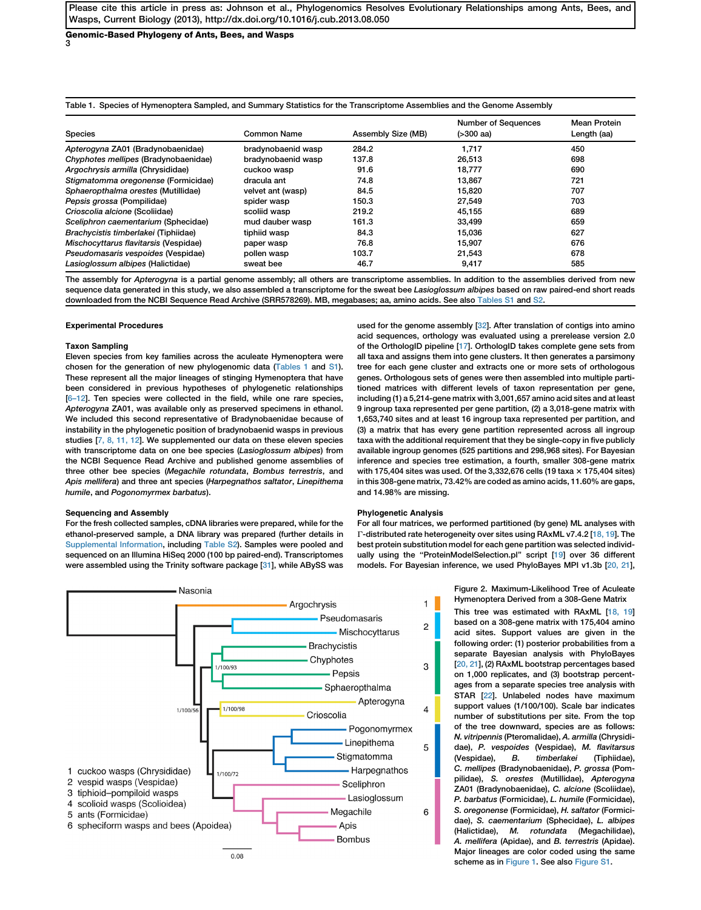<span id="page-2-0"></span>Genomic-Based Phylogeny of Ants, Bees, and Wasps 3

|  |  | Table 1. Species of Hymenoptera Sampled, and Summary Statistics for the Transcriptome Assemblies and the Genome Assembly |
|--|--|--------------------------------------------------------------------------------------------------------------------------|
|  |  |                                                                                                                          |

| <b>Species</b>                        | Common Name        | Assembly Size (MB) | <b>Number of Sequences</b><br>$( > 300$ aa) | <b>Mean Protein</b><br>Length (aa) |
|---------------------------------------|--------------------|--------------------|---------------------------------------------|------------------------------------|
| Apterogyna ZA01 (Bradynobaenidae)     | bradynobaenid wasp | 284.2              | 1.717                                       | 450                                |
| Chyphotes mellipes (Bradynobaenidae)  | bradynobaenid wasp | 137.8              | 26.513                                      | 698                                |
| Argochrysis armilla (Chrysididae)     | cuckoo wasp        | 91.6               | 18.777                                      | 690                                |
| Stigmatomma oregonense (Formicidae)   | dracula ant        | 74.8               | 13,867                                      | 721                                |
| Sphaeropthalma orestes (Mutillidae)   | velvet ant (wasp)  | 84.5               | 15.820                                      | 707                                |
| Pepsis grossa (Pompilidae)            | spider wasp        | 150.3              | 27,549                                      | 703                                |
| Crioscolia alcione (Scoliidae)        | scoliid wasp       | 219.2              | 45.155                                      | 689                                |
| Sceliphron caementarium (Sphecidae)   | mud dauber wasp    | 161.3              | 33,499                                      | 659                                |
| Brachycistis timberlakei (Tiphiidae)  | tiphiid wasp       | 84.3               | 15,036                                      | 627                                |
| Mischocyttarus flavitarsis (Vespidae) | paper wasp         | 76.8               | 15.907                                      | 676                                |
| Pseudomasaris vespoides (Vespidae)    | pollen wasp        | 103.7              | 21,543                                      | 678                                |
| Lasioglossum albipes (Halictidae)     | sweat bee          | 46.7               | 9,417                                       | 585                                |

The assembly for Apterogyna is a partial genome assembly; all others are transcriptome assemblies. In addition to the assemblies derived from new sequence data generated in this study, we also assembled a transcriptome for the sweat bee Lasioglossum albipes based on raw paired-end short reads downloaded from the NCBI Sequence Read Archive (SRR578269). MB, megabases; aa, amino acids. See also [Tables S1](#page-3-0) and [S2](#page-3-0).

#### Experimental Procedures

#### Taxon Sampling

Eleven species from key families across the aculeate Hymenoptera were chosen for the generation of new phylogenomic data (Tables 1 and [S1\)](#page-3-0). These represent all the major lineages of stinging Hymenoptera that have been considered in previous hypotheses of phylogenetic relationships [\[6–12\]](#page-3-0). Ten species were collected in the field, while one rare species, Apterogyna ZA01, was available only as preserved specimens in ethanol. We included this second representative of Bradynobaenidae because of instability in the phylogenetic position of bradynobaenid wasps in previous studies [\[7, 8, 11, 12](#page-3-0)]. We supplemented our data on these eleven species with transcriptome data on one bee species (Lasioglossum albipes) from the NCBI Sequence Read Archive and published genome assemblies of three other bee species (Megachile rotundata, Bombus terrestris, and Apis mellifera) and three ant species (Harpegnathos saltator, Linepithema humile, and Pogonomyrmex barbatus).

#### Sequencing and Assembly

For the fresh collected samples, cDNA libraries were prepared, while for the ethanol-preserved sample, a DNA library was prepared (further details in [Supplemental Information](#page-3-0), including [Table S2](#page-3-0)). Samples were pooled and sequenced on an Illumina HiSeq 2000 (100 bp paired-end). Transcriptomes were assembled using the Trinity software package [\[31\]](#page-4-0), while ABySS was

used for the genome assembly [\[32\]](#page-4-0). After translation of contigs into amino acid sequences, orthology was evaluated using a prerelease version 2.0 of the OrthologID pipeline [\[17\]](#page-4-0). OrthologID takes complete gene sets from all taxa and assigns them into gene clusters. It then generates a parsimony tree for each gene cluster and extracts one or more sets of orthologous genes. Orthologous sets of genes were then assembled into multiple partitioned matrices with different levels of taxon representation per gene, including (1) a 5,214-gene matrix with 3,001,657 amino acid sites and at least 9 ingroup taxa represented per gene partition, (2) a 3,018-gene matrix with 1,653,740 sites and at least 16 ingroup taxa represented per partition, and (3) a matrix that has every gene partition represented across all ingroup taxa with the additional requirement that they be single-copy in five publicly available ingroup genomes (525 partitions and 298,968 sites). For Bayesian inference and species tree estimation, a fourth, smaller 308-gene matrix with 175,404 sites was used. Of the 3,332,676 cells (19 taxa  $\times$  175,404 sites) in this 308-gene matrix, 73.42% are coded as amino acids, 11.60% are gaps, and 14.98% are missing.

## Phylogenetic Analysis

For all four matrices, we performed partitioned (by gene) ML analyses with T-distributed rate heterogeneity over sites using RAxML v7.4.2 [\[18, 19](#page-4-0)]. The best protein substitution model for each gene partition was selected individ-ually using the "ProteinModelSelection.pl" script [[19\]](#page-4-0) over 36 different models. For Bayesian inference, we used PhyloBayes MPI v1.3b [[20, 21\]](#page-4-0),



This tree was estimated with RAxML [\[18, 19\]](#page-4-0) based on a 308-gene matrix with 175,404 amino acid sites. Support values are given in the following order: (1) posterior probabilities from a separate Bayesian analysis with PhyloBayes [\[20, 21](#page-4-0)], (2) RAxML bootstrap percentages based on 1,000 replicates, and (3) bootstrap percentages from a separate species tree analysis with STAR [\[22\]](#page-4-0). Unlabeled nodes have maximum support values (1/100/100). Scale bar indicates number of substitutions per site. From the top of the tree downward, species are as follows: N. vitripennis (Pteromalidae), A. armilla (Chrysididae), P. vespoides (Vespidae), M. flavitarsus (Vespidae), B. timberlakei (Tiphiidae), C. mellipes (Bradynobaenidae), P. grossa (Pompilidae), S. orestes (Mutillidae), Apterogyna ZA01 (Bradynobaenidae), C. alcione (Scoliidae), P. barbatus (Formicidae), L. humile (Formicidae), S. oregonense (Formicidae), H. saltator (Formicidae), S. caementarium (Sphecidae), L. albipes (Halictidae), M. rotundata (Megachilidae), A. mellifera (Apidae), and B. terrestris (Apidae). Major lineages are color coded using the same scheme as in [Figure 1.](#page-1-0) See also [Figure S1](#page-3-0).

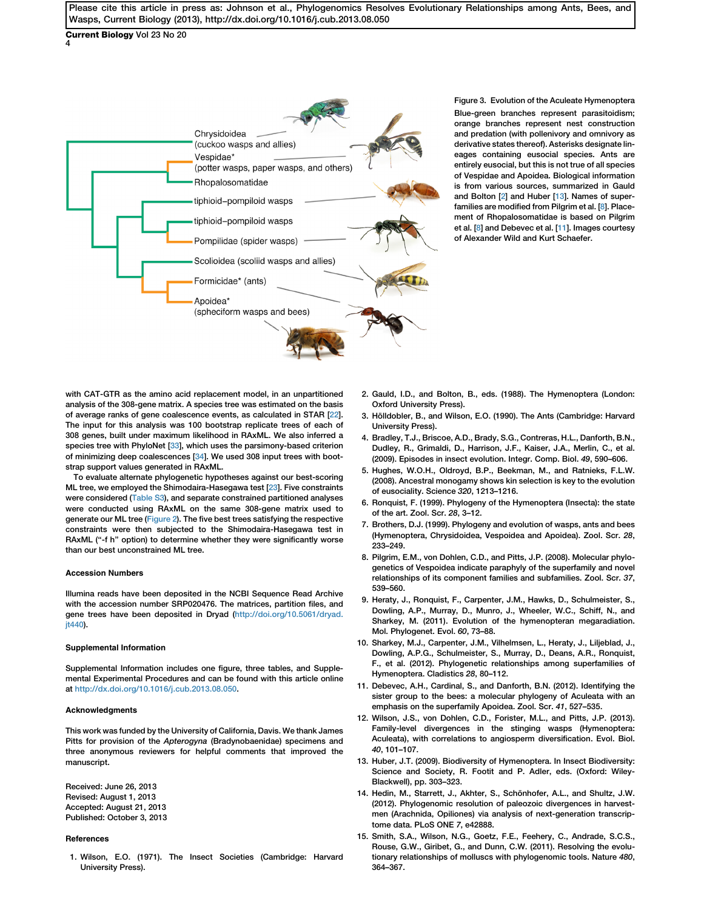<span id="page-3-0"></span>Current Biology Vol 23 No 20 4



Figure 3. Evolution of the Aculeate Hymenoptera Blue-green branches represent parasitoidism; orange branches represent nest construction and predation (with pollenivory and omnivory as derivative states thereof). Asterisks designate lineages containing eusocial species. Ants are entirely eusocial, but this is not true of all species of Vespidae and Apoidea. Biological information is from various sources, summarized in Gauld and Bolton [2] and Huber [13]. Names of superfamilies are modified from Pilgrim et al. [8]. Placement of Rhopalosomatidae is based on Pilgrim et al. [8] and Debevec et al. [11]. Images courtesy of Alexander Wild and Kurt Schaefer.

with CAT-GTR as the amino acid replacement model, in an unpartitioned analysis of the 308-gene matrix. A species tree was estimated on the basis of average ranks of gene coalescence events, as calculated in STAR [[22\]](#page-4-0). The input for this analysis was 100 bootstrap replicate trees of each of 308 genes, built under maximum likelihood in RAxML. We also inferred a species tree with PhyloNet [[33](#page-4-0)], which uses the parsimony-based criterion of minimizing deep coalescences [[34\]](#page-4-0). We used 308 input trees with bootstrap support values generated in RAxML.

To evaluate alternate phylogenetic hypotheses against our best-scoring ML tree, we employed the Shimodaira-Hasegawa test [\[23\]](#page-4-0). Five constraints were considered (Table S3), and separate constrained partitioned analyses were conducted using RAxML on the same 308-gene matrix used to generate our ML tree ([Figure 2](#page-2-0)). The five best trees satisfying the respective constraints were then subjected to the Shimodaira-Hasegawa test in RAxML ("-f h" option) to determine whether they were significantly worse than our best unconstrained ML tree.

#### Accession Numbers

Illumina reads have been deposited in the NCBI Sequence Read Archive with the accession number SRP020476. The matrices, partition files, and gene trees have been deposited in Dryad [\(http://doi.org/10.5061/dryad.](http://doi.org/10.5061/dryad.jt440) it440).

#### Supplemental Information

Supplemental Information includes one figure, three tables, and Supplemental Experimental Procedures and can be found with this article online at [http://dx.doi.org/10.1016/j.cub.2013.08.050.](http://dx.doi.org/10.1016/j.cub.2013.08.050)

#### Acknowledgments

This work was funded by the University of California, Davis. We thank James Pitts for provision of the Apterogyna (Bradynobaenidae) specimens and three anonymous reviewers for helpful comments that improved the manuscript.

Received: June 26, 2013 Revised: August 1, 2013 Accepted: August 21, 2013 Published: October 3, 2013

### References

1. Wilson, E.O. (1971). The Insect Societies (Cambridge: Harvard University Press).

- 2. Gauld, I.D., and Bolton, B., eds. (1988). The Hymenoptera (London: Oxford University Press).
- 3. Hölldobler, B., and Wilson, E.O. (1990). The Ants (Cambridge: Harvard University Press).
- 4. Bradley, T.J., Briscoe, A.D., Brady, S.G., Contreras, H.L., Danforth, B.N., Dudley, R., Grimaldi, D., Harrison, J.F., Kaiser, J.A., Merlin, C., et al. (2009). Episodes in insect evolution. Integr. Comp. Biol. 49, 590–606.
- 5. Hughes, W.O.H., Oldroyd, B.P., Beekman, M., and Ratnieks, F.L.W. (2008). Ancestral monogamy shows kin selection is key to the evolution of eusociality. Science 320, 1213–1216.
- 6. Ronquist, F. (1999). Phylogeny of the Hymenoptera (Insecta): the state of the art. Zool. Scr. 28, 3–12.
- 7. Brothers, D.J. (1999). Phylogeny and evolution of wasps, ants and bees (Hymenoptera, Chrysidoidea, Vespoidea and Apoidea). Zool. Scr. 28, 233–249.
- 8. Pilgrim, E.M., von Dohlen, C.D., and Pitts, J.P. (2008). Molecular phylogenetics of Vespoidea indicate paraphyly of the superfamily and novel relationships of its component families and subfamilies. Zool. Scr. 37, 539–560.
- 9. Heraty, J., Ronquist, F., Carpenter, J.M., Hawks, D., Schulmeister, S., Dowling, A.P., Murray, D., Munro, J., Wheeler, W.C., Schiff, N., and Sharkey, M. (2011). Evolution of the hymenopteran megaradiation. Mol. Phylogenet. Evol. 60, 73–88.
- 10. Sharkey, M.J., Carpenter, J.M., Vilhelmsen, L., Heraty, J., Liljeblad, J., Dowling, A.P.G., Schulmeister, S., Murray, D., Deans, A.R., Ronquist, F., et al. (2012). Phylogenetic relationships among superfamilies of Hymenoptera. Cladistics 28, 80–112.
- 11. Debevec, A.H., Cardinal, S., and Danforth, B.N. (2012). Identifying the sister group to the bees: a molecular phylogeny of Aculeata with an emphasis on the superfamily Apoidea. Zool. Scr. 41, 527–535.
- 12. Wilson, J.S., von Dohlen, C.D., Forister, M.L., and Pitts, J.P. (2013). Family-level divergences in the stinging wasps (Hymenoptera: Aculeata), with correlations to angiosperm diversification. Evol. Biol. 40, 101–107.
- 13. Huber, J.T. (2009). Biodiversity of Hymenoptera. In Insect Biodiversity: Science and Society, R. Footit and P. Adler, eds. (Oxford: Wiley-Blackwell), pp. 303–323.
- 14. Hedin, M., Starrett, J., Akhter, S., Schönhofer, A.L., and Shultz, J.W. (2012). Phylogenomic resolution of paleozoic divergences in harvestmen (Arachnida, Opiliones) via analysis of next-generation transcriptome data. PLoS ONE 7, e42888.
- 15. Smith, S.A., Wilson, N.G., Goetz, F.E., Feehery, C., Andrade, S.C.S., Rouse, G.W., Giribet, G., and Dunn, C.W. (2011). Resolving the evolutionary relationships of molluscs with phylogenomic tools. Nature 480, 364–367.